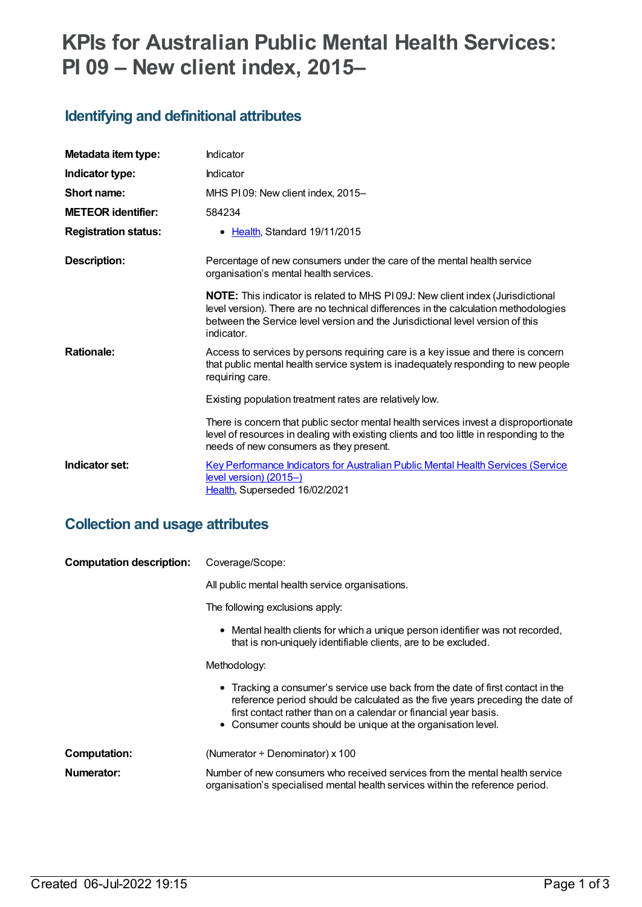# **KPIs for Australian Public Mental Health Services: PI 09 – New client index, 2015–**

#### **Identifying and definitional attributes**

| Metadata item type:         | Indicator                                                                                                                                                                                                                                                                    |
|-----------------------------|------------------------------------------------------------------------------------------------------------------------------------------------------------------------------------------------------------------------------------------------------------------------------|
| Indicator type:             | Indicator                                                                                                                                                                                                                                                                    |
| Short name:                 | MHS PI 09: New client index, 2015-                                                                                                                                                                                                                                           |
| <b>METEOR identifier:</b>   | 584234                                                                                                                                                                                                                                                                       |
| <b>Registration status:</b> | • Health, Standard 19/11/2015                                                                                                                                                                                                                                                |
| <b>Description:</b>         | Percentage of new consumers under the care of the mental health service<br>organisation's mental health services.                                                                                                                                                            |
|                             | <b>NOTE:</b> This indicator is related to MHS P109J: New client index (Jurisdictional<br>level version). There are no technical differences in the calculation methodologies<br>between the Service level version and the Jurisdictional level version of this<br>indicator. |
| <b>Rationale:</b>           | Access to services by persons requiring care is a key issue and there is concern<br>that public mental health service system is inadequately responding to new people<br>requiring care.                                                                                     |
|                             | Existing population treatment rates are relatively low.                                                                                                                                                                                                                      |
|                             | There is concern that public sector mental health services invest a disproportionate<br>level of resources in dealing with existing clients and too little in responding to the<br>needs of new consumers as they present.                                                   |
| Indicator set:              | <b>Key Performance Indicators for Australian Public Mental Health Services (Service</b><br>level version) (2015-)<br>Health, Superseded 16/02/2021                                                                                                                           |

#### **Collection and usage attributes**

| <b>Computation description:</b> | Coverage/Scope:                                                                                                                                                                                                                                                                                      |
|---------------------------------|------------------------------------------------------------------------------------------------------------------------------------------------------------------------------------------------------------------------------------------------------------------------------------------------------|
|                                 | All public mental health service organisations.                                                                                                                                                                                                                                                      |
|                                 | The following exclusions apply:                                                                                                                                                                                                                                                                      |
|                                 | • Mental health clients for which a unique person identifier was not recorded,<br>that is non-uniquely identifiable clients, are to be excluded.                                                                                                                                                     |
|                                 | Methodology:                                                                                                                                                                                                                                                                                         |
|                                 | • Tracking a consumer's service use back from the date of first contact in the<br>reference period should be calculated as the five years preceding the date of<br>first contact rather than on a calendar or financial year basis.<br>• Consumer counts should be unique at the organisation level. |
| Computation:                    | (Numerator ÷ Denominator) x 100                                                                                                                                                                                                                                                                      |
| Numerator:                      | Number of new consumers who received services from the mental health service<br>organisation's specialised mental health services within the reference period.                                                                                                                                       |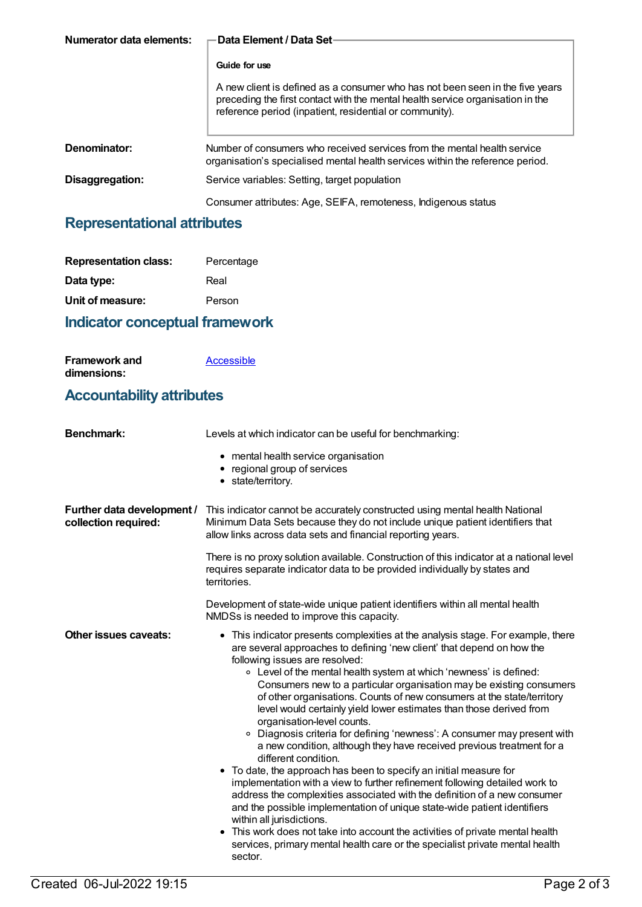| Numerator data elements: | Data Element / Data Set-                                                                                                                                                                                                   |
|--------------------------|----------------------------------------------------------------------------------------------------------------------------------------------------------------------------------------------------------------------------|
|                          |                                                                                                                                                                                                                            |
|                          | Guide for use                                                                                                                                                                                                              |
|                          | A new client is defined as a consumer who has not been seen in the five years<br>preceding the first contact with the mental health service organisation in the<br>reference period (inpatient, residential or community). |
| Denominator:             | Number of consumers who received services from the mental health service<br>organisation's specialised mental health services within the reference period.                                                                 |
| Disaggregation:          | Service variables: Setting, target population                                                                                                                                                                              |
|                          | Consumer attributes: Age, SEIFA, remoteness, Indigenous status                                                                                                                                                             |

### **Representational attributes**

| <b>Representation class:</b> | Percentage |
|------------------------------|------------|
| Data type:                   | Real       |
| Unit of measure:             | Person     |

#### **Indicator conceptual framework**

| <b>Framework and</b> | Accessible |
|----------------------|------------|
| dimensions:          |            |

#### **Accountability attributes**

| <b>Benchmark:</b>                                  | Levels at which indicator can be useful for benchmarking:                                                                                                                                                                                                                                                                                                                                                                                                                                                                                                                                                                                                                                                                                                                                                                                                                                                                                                                                                                                                                                                                                                                                                                      |
|----------------------------------------------------|--------------------------------------------------------------------------------------------------------------------------------------------------------------------------------------------------------------------------------------------------------------------------------------------------------------------------------------------------------------------------------------------------------------------------------------------------------------------------------------------------------------------------------------------------------------------------------------------------------------------------------------------------------------------------------------------------------------------------------------------------------------------------------------------------------------------------------------------------------------------------------------------------------------------------------------------------------------------------------------------------------------------------------------------------------------------------------------------------------------------------------------------------------------------------------------------------------------------------------|
|                                                    | • mental health service organisation<br>• regional group of services<br>• state/territory.                                                                                                                                                                                                                                                                                                                                                                                                                                                                                                                                                                                                                                                                                                                                                                                                                                                                                                                                                                                                                                                                                                                                     |
| Further data development /<br>collection required: | This indicator cannot be accurately constructed using mental health National<br>Minimum Data Sets because they do not include unique patient identifiers that<br>allow links across data sets and financial reporting years.                                                                                                                                                                                                                                                                                                                                                                                                                                                                                                                                                                                                                                                                                                                                                                                                                                                                                                                                                                                                   |
|                                                    | There is no proxy solution available. Construction of this indicator at a national level<br>requires separate indicator data to be provided individually by states and<br>territories.                                                                                                                                                                                                                                                                                                                                                                                                                                                                                                                                                                                                                                                                                                                                                                                                                                                                                                                                                                                                                                         |
|                                                    | Development of state-wide unique patient identifiers within all mental health<br>NMDSs is needed to improve this capacity.                                                                                                                                                                                                                                                                                                                                                                                                                                                                                                                                                                                                                                                                                                                                                                                                                                                                                                                                                                                                                                                                                                     |
| Other issues caveats:                              | • This indicator presents complexities at the analysis stage. For example, there<br>are several approaches to defining 'new client' that depend on how the<br>following issues are resolved:<br>• Level of the mental health system at which 'newness' is defined:<br>Consumers new to a particular organisation may be existing consumers<br>of other organisations. Counts of new consumers at the state/territory<br>level would certainly yield lower estimates than those derived from<br>organisation-level counts.<br>• Diagnosis criteria for defining 'newness': A consumer may present with<br>a new condition, although they have received previous treatment for a<br>different condition.<br>• To date, the approach has been to specify an initial measure for<br>implementation with a view to further refinement following detailed work to<br>address the complexities associated with the definition of a new consumer<br>and the possible implementation of unique state-wide patient identifiers<br>within all jurisdictions.<br>• This work does not take into account the activities of private mental health<br>services, primary mental health care or the specialist private mental health<br>sector. |